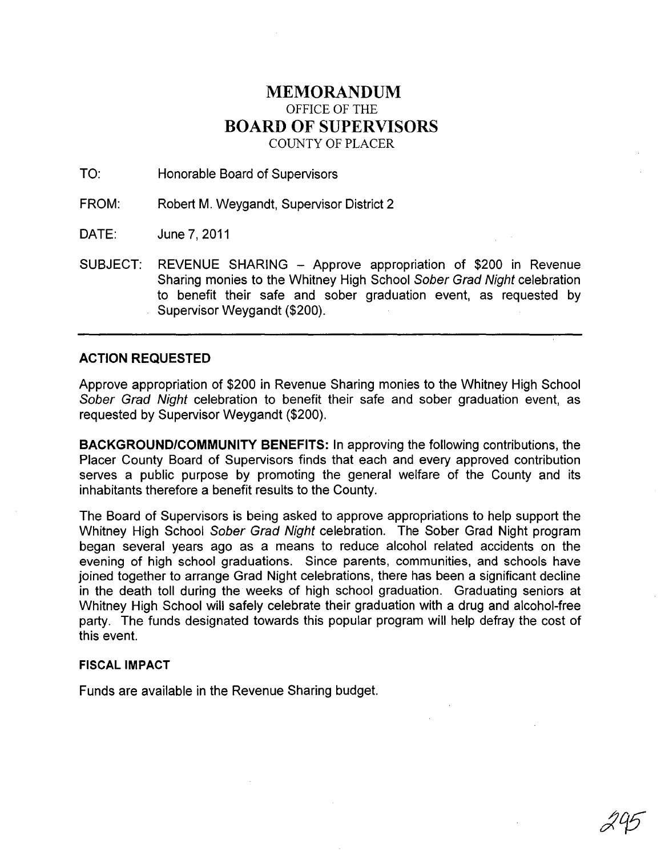## MEMORANDUM OFFICE OF THE BOARD OF SUPERVISORS COUNTY OF PLACER

TO: Honorable Board of Supervisors

FROM: Robert M. Weygandt, Supervisor District 2

DATE: June 7,2011

SUBJECT: REVENUE SHARING - Approve appropriation of \$200 in Revenue Sharing monies to the Whitney High School Sober Grad Night celebration to benefit their safe and sober graduation event, as requested by Supervisor Weygandt (\$200).

## ACTION REQUESTED

Approve appropriation of \$200 in Revenue Sharing monies to the Whitney High School Sober Grad Night celebration to benefit their safe and sober graduation event. as requested by Supervisor Weygandt (\$200).

BACKGROUND/COMMUNITY BENEFITS: In approving the following contributions, the Placer County Board of Supervisors finds that each and every approved contribution serves a public purpose by promoting the general welfare of the County and its inhabitants therefore a benefit results to the County.

The Board of Supervisors is being asked to approve appropriations to help support the Whitney High School Sober Grad Night celebration. The Sober Grad Night program began several years ago as a means to reduce alcohol related accidents on the evening of high school graduations. Since parents, communities, and schools have joined together to arrange Grad Night celebrations, there has been a significant decline in the death toll during the weeks of high school graduation. Graduating seniors at Whitney High School will safely celebrate their graduation with a drug and alcohol-free party. The funds designated towards this popular program will help defray the cost of this event.

## FISCAL IMPACT

Funds are available in the Revenue Sharing budget.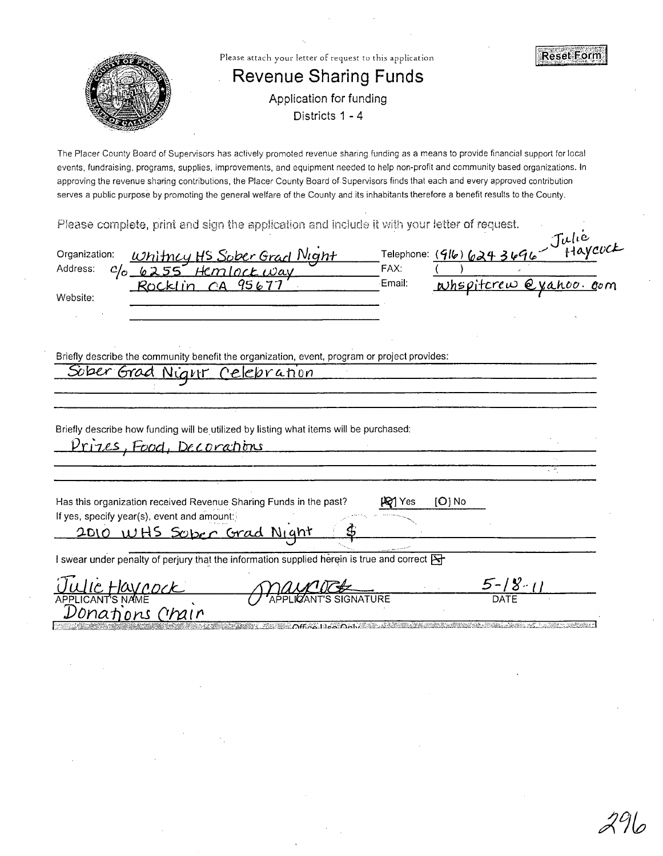

The Placer County Board of Supervisors has actively promoted revenue sharing funding as a means to provide financial support for local events, fundraising, programs, supplies, improvements, and equipment needed to help non-profit and community based organizations. In approving the revenue sharing contributions, the Placer County Board of.Supervisors finds that each and every approved contribution serves a public purpose by promoting the general welfare of the County and its inhabitants therefore a benefit results to the County.

Please complete, print and sign the application and include it with your letter of request.

| n: Whitney HS Sober Grad Night<br>C/o 6255 Hemlock Way<br>Rocklin CA 95677<br>Organization:<br>Address: | Email:        | Telephone: (916) 624 3696 Julie<br>Whspitcrew @yahoo.com |                                           |
|---------------------------------------------------------------------------------------------------------|---------------|----------------------------------------------------------|-------------------------------------------|
| Website:                                                                                                |               |                                                          |                                           |
|                                                                                                         |               |                                                          |                                           |
|                                                                                                         |               |                                                          |                                           |
| Briefly describe the community benefit the organization, event, program or project provides:            |               |                                                          |                                           |
| Suber Grad Night Celebration                                                                            |               |                                                          |                                           |
|                                                                                                         |               |                                                          |                                           |
|                                                                                                         |               |                                                          |                                           |
| Briefly describe how funding will be utilized by listing what items will be purchased:                  |               |                                                          |                                           |
| Prizes, Food, Decorations                                                                               |               |                                                          |                                           |
|                                                                                                         |               |                                                          |                                           |
| Has this organization received Revenue Sharing Funds in the past?                                       | <b>PO</b> Yes | $[O]$ No                                                 |                                           |
| If yes, specify year(s), event and amount:                                                              |               |                                                          |                                           |
| 2010 WHS Sober Grad Night \$                                                                            |               |                                                          |                                           |
| I swear under penalty of perjury that the information supplied herein is true and correct E             |               |                                                          |                                           |
|                                                                                                         |               |                                                          |                                           |
| <u>JUICHAVOOCK</u><br>APPLICANT'S SIGNATURE                                                             |               | $\frac{5-18-11}{\text{DATE}}$                            |                                           |
| Donations Chair                                                                                         |               |                                                          |                                           |
| <u>ഉത്തരങ്ങളെ സംസ്ഥാപം കൊപ്പിക്കുകയാണ് അ</u>                                                            |               |                                                          | ekar Karl Jesel në Fr <i>it</i> an dhënës |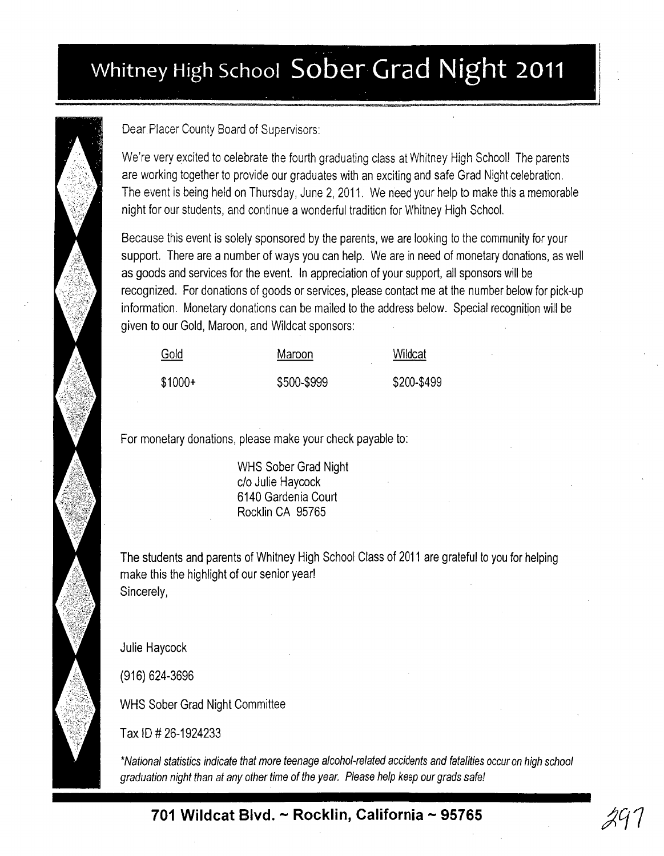## ... **Whitney High School Sober Grad Night 2011** . ..



Dear Placer County Board of Supervisors:

We're very excited to celebrate the fourth graduating class at Whitney High School! The parents are working together to provide our graduates with an exciting and safe Grad Night celebration. The event is being held on Thursday, June 2, 2011. We need your help to make this a memorable night for our students, and continue a wonderful tradition for Whitney High School.

,

Because this event is solely sponsored by the parents, we are looking to the community for your support. There are a number of ways you can help. We are in need of monetary donations, as well as goods and services for the event. In appreciation of your support, all sponsors will be recognized. For donations of goods or services, please contact me at the number below for pick-up information. Monetary donations can be mailed to the address below. Special recognition will be given to our Gold, Maroon, and Wildcat sponsors:

| Gold     | Maroon      | Wildcat<br>______ |
|----------|-------------|-------------------|
| $$1000+$ | \$500-\$999 | \$200-\$499       |

For monetary donations, please make your check payable to:

WHS Sober Grad Night c/o Julie Haycock 6140 Gardenia Court Rocklin CA 95765

The students and parents of Whitney High School Class of 2011 are grateful to you for helping make this the highlight of our senior year! Sincerely,

Julie Haycock

(916) 624-3696

WHS Sober Grad Night Committee

Tax **10** # 26-1924233

'National statistics indicate that more teenage alcohol-related accidents and fatalities occur on high school graduation night than at any other time of the year. Please help keep our grads safe!

**701 Wildcat Blvd. - Rocklin, California - 95765**